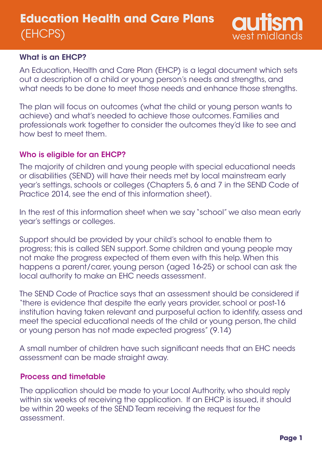

#### What is an EHCP?

An Education, Health and Care Plan (EHCP) is a legal document which sets out a description of a child or young person's needs and strengths, and what needs to be done to meet those needs and enhance those strengths.

The plan will focus on outcomes (what the child or young person wants to achieve) and what's needed to achieve those outcomes. Families and professionals work together to consider the outcomes they'd like to see and how best to meet them.

### Who is eligible for an EHCP?

The majority of children and young people with special educational needs or disabilities (SEND) will have their needs met by local mainstream early year's settings, schools or colleges (Chapters 5, 6 and 7 in the SEND Code of Practice 2014, see the end of this information sheet).

In the rest of this information sheet when we say "school" we also mean early year's settings or colleges.

Support should be provided by your child's school to enable them to progress; this is called SEN support. Some children and young people may not make the progress expected of them even with this help. When this happens a parent/carer, young person (aged 16-25) or school can ask the local authority to make an EHC needs assessment.

The SEND Code of Practice says that an assessment should be considered if "there is evidence that despite the early years provider, school or post-16 institution having taken relevant and purposeful action to identify, assess and meet the special educational needs of the child or young person, the child or young person has not made expected progress" (9.14)

A small number of children have such significant needs that an EHC needs assessment can be made straight away.

#### Process and timetable

The application should be made to your Local Authority, who should reply within six weeks of receiving the application. If an EHCP is issued, it should be within 20 weeks of the SEND Team receiving the request for the assessment.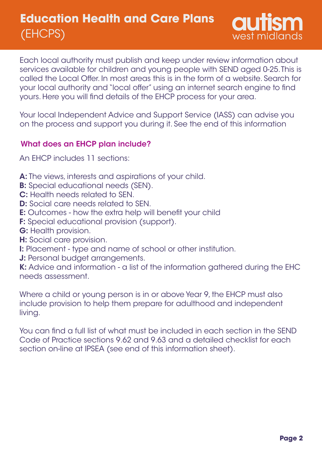

Each local authority must publish and keep under review information about services available for children and young people with SEND aged 0-25. This is called the Local Offer. In most areas this is in the form of a website. Search for your local authority and "local offer" using an internet search engine to find yours. Here you will find details of the EHCP process for your area.

Your local Independent Advice and Support Service (IASS) can advise you on the process and support you during it. See the end of this information

#### What does an EHCP plan include?

An EHCP includes 11 sections:

- A: The views, interests and aspirations of your child.
- **B:** Special educational needs (SEN).
- C: Health needs related to SEN.
- **D:** Social care needs related to SEN.
- E: Outcomes how the extra help will benefit your child
- F: Special educational provision (support).
- G: Health provision.
- H: Social care provision.
- I: Placement type and name of school or other institution.
- J: Personal budget arrangements.

K: Advice and information - a list of the information gathered during the EHC needs assessment.

Where a child or young person is in or above Year 9, the EHCP must also include provision to help them prepare for adulthood and independent living.

You can find a full list of what must be included in each section in the SEND Code of Practice sections 9.62 and 9.63 and a detailed checklist for each section on-line at IPSEA (see end of this information sheet).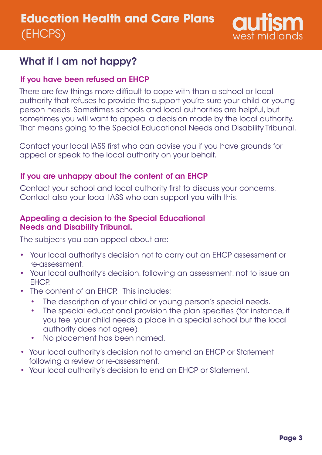

# What if I am not happy?

### If you have been refused an EHCP

There are few things more difficult to cope with than a school or local authority that refuses to provide the support you're sure your child or young person needs. Sometimes schools and local authorities are helpful, but sometimes you will want to appeal a decision made by the local authority. That means going to the Special Educational Needs and Disability Tribunal.

Contact your local IASS first who can advise you if you have grounds for appeal or speak to the local authority on your behalf.

### If you are unhappy about the content of an EHCP

Contact your school and local authority first to discuss your concerns. Contact also your local IASS who can support you with this.

#### Appealing a decision to the Special Educational Needs and Disability Tribunal.

The subjects you can appeal about are:

- Your local authority's decision not to carry out an EHCP assessment or re-assessment.
- Your local authority's decision, following an assessment, not to issue an EHCP.
- The content of an EHCP. This includes:
	- $\bullet$ The description of your child or young person's special needs.
	- The special educational provision the plan specifies (for instance, if you feel your child needs a place in a special school but the local authority does not agree).
	- No placement has been named.
- Your local authority's decision not to amend an EHCP or Statement following a review or re-assessment.
- Your local authority's decision to end an EHCP or Statement.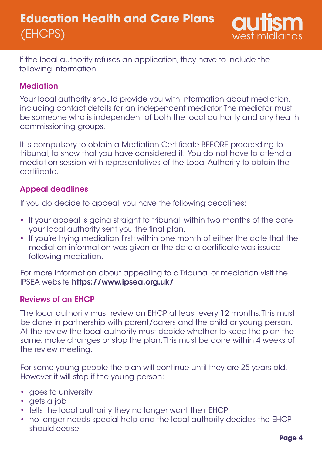

If the local authority refuses an application, they have to include the following information:

## **Mediation**

Your local authority should provide you with information about mediation, including contact details for an independent mediator. The mediator must be someone who is independent of both the local authority and any health commissioning groups.

It is compulsory to obtain a Mediation Certificate BEFORE proceeding to tribunal, to show that you have considered it. You do not have to attend a mediation session with representatives of the Local Authority to obtain the certificate.

#### Appeal deadlines

If you do decide to appeal, you have the following deadlines:

- If your appeal is going straight to tribunal: within two months of the date your local authority sent you the final plan.
- If you're trying mediation first: within one month of either the date that the mediation information was given or the date a certificate was issued following mediation.

For more information about appealing to a Tribunal or mediation visit the IPSEA website https://www.ipsea.org.uk/

#### Reviews of an EHCP

The local authority must review an EHCP at least every 12 months. This must be done in partnership with parent/carers and the child or young person. At the review the local authority must decide whether to keep the plan the same, make changes or stop the plan. This must be done within 4 weeks of the review meeting.

For some young people the plan will continue until they are 25 years old. However it will stop if the young person:

- goes to university
- gets a job
- tells the local authority they no longer want their EHCP
- no longer needs special help and the local authority decides the EHCP should cease